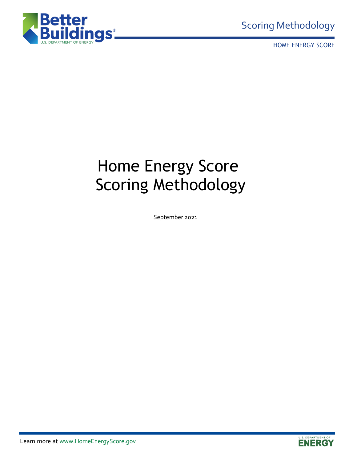

HOME ENERGY SCORE

# Home Energy Score Scoring Methodology

September 2021

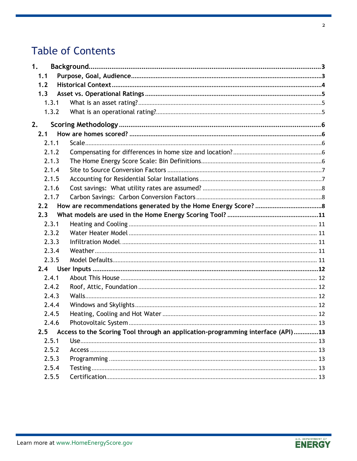# **Table of Contents**

| 1.  |       |                                                                                 |  |
|-----|-------|---------------------------------------------------------------------------------|--|
| 1.1 |       |                                                                                 |  |
| 1.2 |       |                                                                                 |  |
| 1.3 |       |                                                                                 |  |
|     | 1.3.1 |                                                                                 |  |
|     | 1.3.2 |                                                                                 |  |
| 2.  |       |                                                                                 |  |
| 2.1 |       |                                                                                 |  |
|     | 2.1.1 |                                                                                 |  |
|     | 2.1.2 |                                                                                 |  |
|     | 2.1.3 |                                                                                 |  |
|     | 2.1.4 |                                                                                 |  |
|     | 2.1.5 |                                                                                 |  |
|     | 2.1.6 |                                                                                 |  |
|     | 2.1.7 |                                                                                 |  |
| 2.2 |       |                                                                                 |  |
| 2.3 |       |                                                                                 |  |
|     | 2.3.1 |                                                                                 |  |
|     | 2.3.2 |                                                                                 |  |
|     | 2.3.3 |                                                                                 |  |
|     | 2.3.4 |                                                                                 |  |
|     | 2.3.5 |                                                                                 |  |
|     |       |                                                                                 |  |
|     | 2.4.1 |                                                                                 |  |
|     | 2.4.2 |                                                                                 |  |
|     | 2.4.3 |                                                                                 |  |
|     | 2.4.4 |                                                                                 |  |
|     | 2.4.5 |                                                                                 |  |
|     | 2.4.6 |                                                                                 |  |
| 2.5 |       | Access to the Scoring Tool through an application-programming interface (API)13 |  |
|     | 2.5.1 |                                                                                 |  |
|     | 2.5.2 |                                                                                 |  |
|     | 2.5.3 |                                                                                 |  |
|     | 2.5.4 |                                                                                 |  |
|     | 2.5.5 |                                                                                 |  |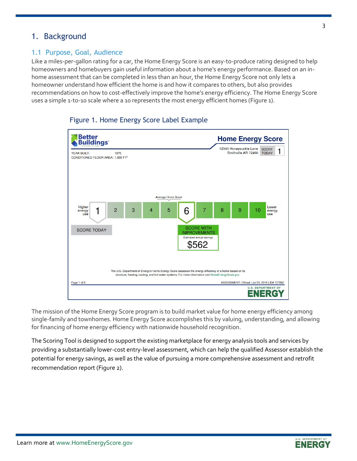## <span id="page-2-0"></span>1. Background

#### <span id="page-2-1"></span>1.1 Purpose, Goal, Audience

Like a miles-per-gallon rating for a car, the Home Energy Score is an easy-to-produce rating designed to help homeowners and homebuyers gain useful information about a home's energy performance. Based on an inhome assessment that can be completed in less than an hour, the Home Energy Score not only lets a homeowner understand how efficient the home is and how it compares to others, but also provides recommendations on how to cost-effectively improve the home's energy efficiency. The Home Energy Score uses a simple 1-to-10 scale where a 10 represents the most energy efficient homes (Figure 1).



#### Figure 1. Home Energy Score Label Example

The mission of the Home Energy Score program is to build market value for home energy efficiency among single-family and townhomes. Home Energy Score accomplishes this by valuing, understanding, and allowing for financing of home energy efficiency with nationwide household recognition.

The Scoring Tool is designed to support the existing marketplace for energy analysis tools and services by providing a substantially lower-cost entry-level assessment, which can help the qualified Assessor establish the potential for energy savings, as well as the value of pursuing a more comprehensive assessment and retrofit recommendation report (Figure 2).

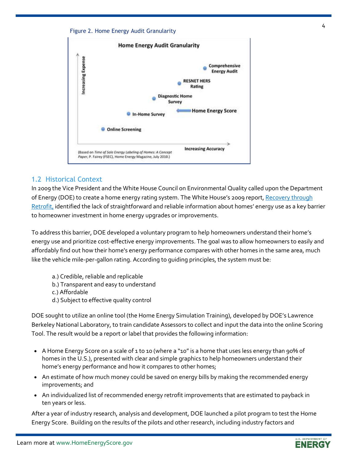



#### <span id="page-3-0"></span>1.2 Historical Context

In 2009 the Vice President and the White House Council on Environmental Quality called upon the Department of Energy (DOE) to create a home energy rating system. The White House's 2009 report, Recovery through [Retrofit,](https://obamawhitehouse.archives.gov/administration/eop/ceq/initiatives/retrofit) identified the lack of straightforward and reliable information about homes' energy use as a key barrier to homeowner investment in home energy upgrades or improvements.

To address this barrier, DOE developed a voluntary program to help homeowners understand their home's energy use and prioritize cost-effective energy improvements. The goal was to allow homeowners to easily and affordably find out how their home's energy performance compares with other homes in the same area, much like the vehicle mile-per-gallon rating. According to guiding principles, the system must be:

- a.) Credible, reliable and replicable
- b.) Transparent and easy to understand
- c.) Affordable
- d.) Subject to effective quality control

DOE sought to utilize an online tool (the Home Energy Simulation Training), developed by DOE's Lawrence Berkeley National Laboratory, to train candidate Assessors to collect and input the data into the online Scoring Tool. The result would be a report or label that provides the following information:

- A Home Energy Score on a scale of 1 to 10 (where a "10" is a home that uses less energy than 90% of homes in the U.S.), presented with clear and simple graphics to help homeowners understand their home's energy performance and how it compares to other homes;
- An estimate of how much money could be saved on energy bills by making the recommended energy improvements; and
- An individualized list of recommended energy retrofit improvements that are estimated to payback in ten years or less.

After a year of industry research, analysis and development, DOE launched a [pilot program](http://www1.eere.energy.gov/buildings/residential/hes_summaries.html) to test the Home Energy Score. Building on the results of the pilots and other research, including industry factors and

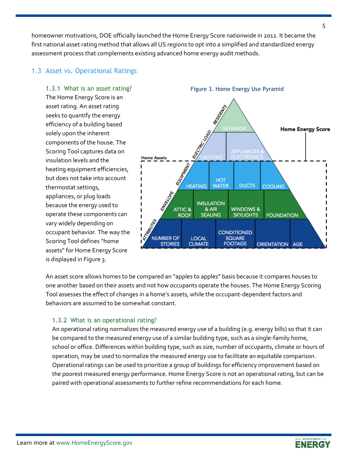homeowner motivations, DOE officially launched the Home Energy Score nationwide in 2012. It became the first national asset rating method that allows all US regions to opt into a simplified and standardized energy assessment process that complements existing advanced home energy audit methods.

#### <span id="page-4-0"></span>1.3 Asset vs. Operational Ratings

#### <span id="page-4-1"></span>1.3.1 What is an asset rating?

The Home Energy Score is an asset rating. An asset rating seeks to quantify the energy efficiency of a building based solely upon the inherent components of the house. The Scoring Tool captures data on insulation levels and the heating equipment efficiencies, but does not take into account thermostat settings, appliances, or plug loads because the energy used to operate these components can vary widely depending on occupant behavior. The way the Scoring Tool defines "home assets" for Home Energy Score is displayed in Figure 3.



An asset score allows homes to be compared an "apples to apples" basis because it compares houses to one another based on their assets and not how occupants operate the houses. The Home Energy Scoring Tool assesses the effect of changes in a home's assets, while the occupant-dependent factors and behaviors are assumed to be somewhat constant.

#### <span id="page-4-2"></span>1.3.2 What is an operational rating?

An operational rating normalizes the measured energy use of a building (e.g. energy bills) so that it can be compared to the measured energy use of a similar building type, such as a single-family home, school or office. Differences within building type, such as size, number of occupants, climate or hours of operation, may be used to normalize the measured energy use to facilitate an equitable comparison. Operational ratings can be used to prioritize a group of buildings for efficiency improvement based on the poorest measured energy performance. Home Energy Score is not an operational rating, but can be paired with operational assessments to further refine recommendations for each home.



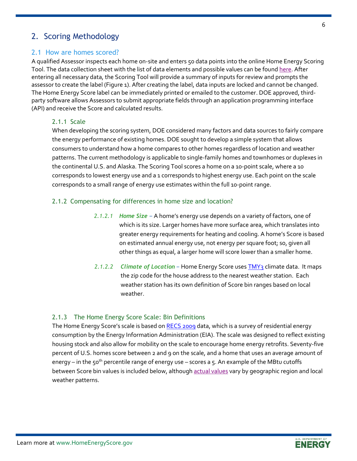# <span id="page-5-0"></span>2. Scoring Methodology

#### <span id="page-5-1"></span>2.1 How are homes scored?

A qualified Assessor inspects each home on-site and enters 50 data points into the online Home Energy Scoring Tool. The data collection sheet with the list of data elements and possible values can be foun[d here.](https://betterbuildingssolutioncenter.energy.gov/sites/default/files/A3%20-%20Tool%20Data%20Collection%20Form%20%28v.2019%29.pdf) After entering all necessary data, the Scoring Tool will provide a summary of inputs for review and prompts the assessor to create the label (Figure 1). After creating the label, data inputs are locked and cannot be changed. The Home Energy Score label can be immediately printed or emailed to the customer. DOE approved, thirdparty software allows Assessors to submit appropriate fields through an application programming interface (API) and receive the Score and calculated results.

#### <span id="page-5-2"></span>2.1.1 Scale

When developing the scoring system, DOE considered many factors and data sources to fairly compare the energy performance of existing homes. DOE sought to develop a simple system that allows consumers to understand how a home compares to other homes regardless of location and weather patterns. The current methodology is applicable to single-family homes and townhomes or duplexes in the continental U.S. and Alaska. The Scoring Tool scores a home on a 10-point scale, where a 10 corresponds to lowest energy use and a 1 corresponds to highest energy use. Each point on the scale corresponds to a small range of energy use estimates within the full 10-point range.

#### <span id="page-5-3"></span>2.1.2 Compensating for differences in home size and location?

- *2.1.2.1 Home Size –* A home's energy use depends on a variety of factors, one of which is its size. Larger homes have more surface area, which translates into greater energy requirements for heating and cooling. A home's Score is based on estimated annual energy use, not energy per square foot; so, given all other things as equal, a larger home will score lower than a smaller home.
- *2.1.2.2 Climate of Location –* Home Energy Score uses [TMY3](https://energyplus.net/weather) climate data. It maps the zip code for the house address to the nearest weather station. Each weather station has its own definition of Score bin ranges based on local weather.

#### <span id="page-5-4"></span>2.1.3The Home Energy Score Scale: Bin Definitions

The Home Energy Score's scale is based on [RECS 2009](http://www.eia.gov/consumption/residential/data/2009/) data, which is a survey of residential energy consumption by the Energy Information Administration (EIA). The scale was designed to reflect existing housing stock and also allow for mobility on the scale to encourage home energy retrofits. Seventy-five percent of U.S. homes score between 2 and 9 on the scale, and a home that uses an average amount of energy – in the 50<sup>th</sup> percentile range of energy use – scores a 5. An example of the MBtu cutoffs between Score bin values is included below, although **actual values vary by geographic region** and local weather patterns.

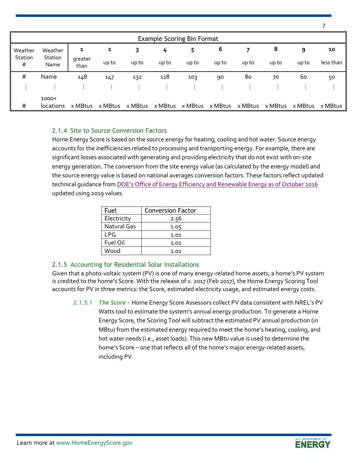|              |                             |                 |         |         | <b>Example Scoring Bin Format</b> |         |         |         |         |         |           |
|--------------|-----------------------------|-----------------|---------|---------|-----------------------------------|---------|---------|---------|---------|---------|-----------|
| Weather      | Weather                     | 1               | 2       | 3       | 4                                 | 5       | 6       |         | 8       | 9       | 10        |
| Station<br># | Station<br>Name             | greater<br>than | up to   | up to   | up to                             | up to   | up to   | up to   | up to   | up to   | less than |
| #            | Name                        | 148             | 147     | 132     | 118                               | 103     | 90      | 80      | 70      | 60      | 50        |
| $\bullet$    | $\sim$                      | ٠.              | ÷       | ٠.      |                                   |         |         |         |         |         | ÷         |
| #            | $1000+$<br><i>locations</i> | x MBtus         | x MBtus | x MBtus | x MBtus                           | x MBtus | x MBtus | x MBtus | x MBtus | x MBtus | x MBtus   |

#### <span id="page-6-0"></span>2.1.4 Site to Source Conversion Factors

Home Energy Score is based on the source energy for heating, cooling and hot water. Source energy accounts for the inefficiencies related to processing and transporting energy. For example, there are significant losses associated with generating and providing electricity that do not exist with on-site energy generation. The conversion from the site energy value (as calculated by the energy model) and the source energy value is based on national averages conversion factors. These factors reflect [updated](https://www.energy.gov/sites/prod/files/2016/10/f33/Source%20Energy%20Report%20-%20Final%20-%2010.21.16.pdf)  [technical guidance](https://www.energy.gov/sites/prod/files/2016/10/f33/Source%20Energy%20Report%20-%20Final%20-%2010.21.16.pdf) from DOE's Office of Energy Efficiency a[nd Renewable Energy as of October 2016](https://www.energy.gov/sites/prod/files/2016/10/f33/Source%20Energy%20Report%20-%20Final%20-%2010.21.16.pdf) updated using 2019 values.

| Fuel        | <b>Conversion Factor</b> |
|-------------|--------------------------|
| Electricity | 2.56                     |
| Natural Gas | 1.05                     |
| LPG         | 1.01                     |
| Fuel Oil    | 1.01                     |
| Wood        | 1.01                     |

#### <span id="page-6-1"></span>2.1.5 Accounting for Residential Solar Installations

Given that a photo-voltaic system (PV) is one of many energy-related home assets, a home's PV system is credited to the home's Score. With the release of v. 2017 (Feb 2017), the Home Energy Scoring Tool accounts for PV in three metrics: the Score, estimated electricity usage, and estimated energy costs.

*2.1.5.1 The Score -* Home Energy Score Assessors collect PV data consistent with NREL's PV Watts tool to estimate the system's annual energy production. To generate a Home Energy Score, the Scoring Tool will subtract the estimated PV annual production (in MBtu) from the estimated energy required to meet the home's heating, cooling, and hot water needs (i.e., asset loads). This new MBtu value is used to determine the home's Score – one that reflects all of the home's major energy-related assets, including PV.





7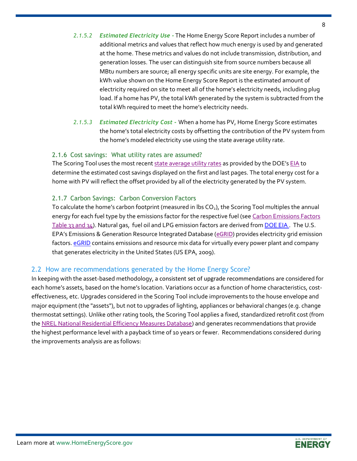- *2.1.5.2 Estimated Electricity Use -* The Home Energy Score Report includes a number of additional metrics and values that reflect how much energy is used by and generated at the home. These metrics and values do not include transmission, distribution, and generation losses. The user can distinguish site from source numbers because all MBtu numbers are source; all energy specific units are site energy. For example, the kWh value shown on the Home Energy Score Report is the estimated amount of electricity required on site to meet all of the home's electricity needs, including plug load. If a home has PV, the total kWh generated by the system is subtracted from the total kWh required to meet the home's electricity needs*.*
- *2.1.5.3 Estimated Electricity Cost -* When a home has PV, Home Energy Score estimates the home's total electricity costs by offsetting the contribution of the PV system from the home's modeled electricity use using the state average utility rate.

#### <span id="page-7-0"></span>2.1.6 Cost savings: What utility rates are assumed?

The Scoring Tool uses the most recent [state average utility rates](https://sites.google.com/a/lbl.gov/hes-public/calculation-methodology/bill-calculation/bill-calculation-scoring-tool) as provided by the DOE's [EIA](https://www.eia.gov/state/seds/seds-data-complete.php) to determine the estimated cost savings displayed on the first and last pages. The total energy cost for a home with PV will reflect the offset provided by all of the electricity generated by the PV system.

#### <span id="page-7-1"></span>2.1.7 Carbon Savings: Carbon Conversion Factors

To calculate the home's carbon footprint (measured in lbs  $CO<sub>2</sub>$ ), the Scoring Tool multiples the annual energy for each fuel type by the emissions factor for the respective fuel (see Carbon Emissions Factors [Table 33 and 34\)](https://sites.google.com/a/lbl.gov/hes-public/calculation-methodology/user-reports/carbon-emission-factors-scoring-tool). Natural gas, fuel oil and LPG emission factors are derived from [DOE EIA](https://www.eia.gov/environment/emissions/co2_vol_mass.php). The U.S. EPA's Emissions & Generation Resource Integrated Database ([eGRID](https://www.epa.gov/egrid/download-data)) provides electricity grid emission factors. **eGRID** contains emissions and resource mix data for virtually every power plant and company that generates electricity in the United States (US EPA, 2009).

#### <span id="page-7-2"></span>2.2 How are recommendations generated by the Home Energy Score?

In keeping with the asset-based methodology, a consistent set of upgrade recommendations are considered for each home's assets, based on the home's location. Variations occur as a function of home characteristics, costeffectiveness, etc. Upgrades considered in the Scoring Tool include improvements to the house envelope and major equipment (the "assets"), but not to upgrades of lighting, appliances or behavioral changes (e.g. change thermostat settings). Unlike other rating tools, the Scoring Tool applies a fixed, standardized retrofit cost (from the [NREL National Residential Efficiency Measures Database\)](https://remdb.nrel.gov/group_listing.php) and generates recommendations that provide the highest performance level with a payback time of 10 years or fewer. Recommendations considered during the improvements analysis are as follows:

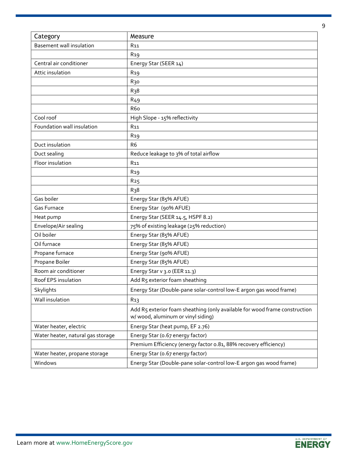| Category                          | Measure                                                                                                          |
|-----------------------------------|------------------------------------------------------------------------------------------------------------------|
| Basement wall insulation          | R <sub>11</sub>                                                                                                  |
|                                   | R <sub>19</sub>                                                                                                  |
| Central air conditioner           | Energy Star (SEER 14)                                                                                            |
| Attic insulation                  | R <sub>19</sub>                                                                                                  |
|                                   | R <sub>30</sub>                                                                                                  |
|                                   | R <sub>3</sub> 8                                                                                                 |
|                                   | R <sub>49</sub>                                                                                                  |
|                                   | R <sub>6</sub> o                                                                                                 |
| Cool roof                         | High Slope - 15% reflectivity                                                                                    |
| Foundation wall insulation        | R <sub>11</sub>                                                                                                  |
|                                   | R <sub>19</sub>                                                                                                  |
| Duct insulation                   | R <sub>6</sub>                                                                                                   |
| Duct sealing                      | Reduce leakage to 3% of total airflow                                                                            |
| Floor insulation                  | <b>R11</b>                                                                                                       |
|                                   | R <sub>19</sub>                                                                                                  |
|                                   | R <sub>25</sub>                                                                                                  |
|                                   | R <sub>3</sub> 8                                                                                                 |
| Gas boiler                        | Energy Star (85% AFUE)                                                                                           |
| Gas Furnace                       | Energy Star (90% AFUE)                                                                                           |
| Heat pump                         | Energy Star (SEER 14.5, HSPF 8.2)                                                                                |
| Envelope/Air sealing              | 75% of existing leakage (25% reduction)                                                                          |
| Oil boiler                        | Energy Star (85% AFUE)                                                                                           |
| Oil furnace                       | Energy Star (85% AFUE)                                                                                           |
| Propane furnace                   | Energy Star (90% AFUE)                                                                                           |
| Propane Boiler                    | Energy Star (85% AFUE)                                                                                           |
| Room air conditioner              | Energy Star v 3.0 (EER 11.3)                                                                                     |
| Roof EPS insulation               | Add R5 exterior foam sheathing                                                                                   |
| Skylights                         | Energy Star (Double-pane solar-control low-E argon gas wood frame)                                               |
| Wall insulation                   | R <sub>1</sub> 3                                                                                                 |
|                                   | Add R5 exterior foam sheathing (only available for wood frame construction<br>w/ wood, aluminum or vinyl siding) |
| Water heater, electric            | Energy Star (heat pump, EF 2.76)                                                                                 |
| Water heater, natural gas storage | Energy Star (0.67 energy factor)                                                                                 |
|                                   | Premium Efficiency (energy factor o.81, 88% recovery efficiency)                                                 |
| Water heater, propane storage     | Energy Star (0.67 energy factor)                                                                                 |
| Windows                           | Energy Star (Double-pane solar-control low-E argon gas wood frame)                                               |

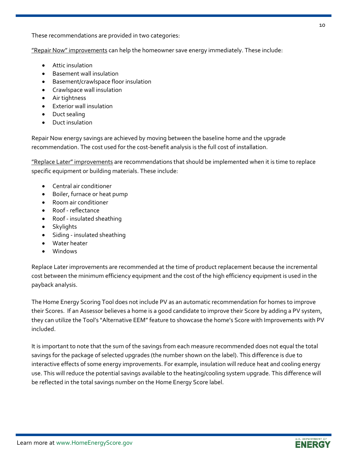**"Repair Now" improvements** can help the homeowner save energy immediately. These include:

- Attic insulation
- Basement wall insulation
- Basement/crawlspace floor insulation
- Crawlspace wall insulation
- Air tightness
- Exterior wall insulation
- Duct sealing
- Duct insulation

Repair Now energy savings are achieved by moving between the baseline home and the upgrade recommendation. The cost used for the cost-benefit analysis is the full cost of installation.

"Replace Later" improvements are recommendations that should be implemented when it is time to replace specific equipment or building materials. These include:

- Central air conditioner
- Boiler, furnace or heat pump
- Room air conditioner
- Roof reflectance
- Roof insulated sheathing
- Skylights
- Siding insulated sheathing
- Water heater
- Windows

Replace Later improvements are recommended at the time of product replacement because the incremental cost between the minimum efficiency equipment and the cost of the high efficiency equipment is used in the payback analysis.

The Home Energy Scoring Tool does not include PV as an automatic recommendation for homes to improve their Scores. If an Assessor believes a home is a good candidate to improve their Score by adding a PV system, they can utilize the Tool's "Alternative EEM" feature to showcase the home's Score with Improvements with PV included.

It is important to note that the sum of the savings from each measure recommended does not equal the total savings for the package of selected upgrades (the number shown on the label). This difference is due to interactive effects of some energy improvements. For example, insulation will reduce heat and cooling energy use. This will reduce the potential savings available to the heating/cooling system upgrade. This difference will be reflected in the total savings number on the Home Energy Score label.

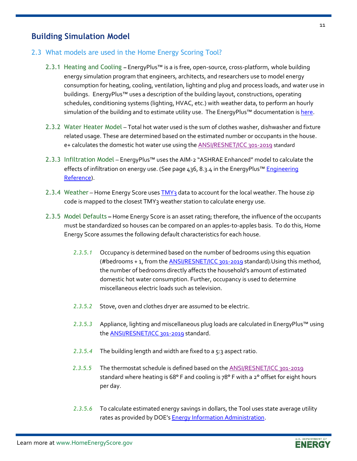### **Building Simulation Model**

#### <span id="page-10-1"></span><span id="page-10-0"></span>2.3 What models are used in the Home Energy Scoring Tool?

- 2.3.1 Heating and Cooling *–* EnergyPlus™ is a is free, open-source, cross-platform, whole building energy simulation program that engineers, architects, and researchers use to model energy consumption for heating, cooling, ventilation, lighting and plug and process loads, and water use in buildings. EnergyPlus™ uses a description of the building layout, constructions, operating schedules, conditioning systems (lighting, HVAC, etc.) with weather data, to perform an hourly simulation of the building and to estimate utility use. The EnergyPlus™ documentation is [here.](https://energyplus.net/documentation)
- <span id="page-10-2"></span>2.3.2 Water Heater Model – Total hot water used is the sum of clothes washer, dishwasher and fixture related usage. These are determined based on the estimated number or occupants in the house. e+ calculates the domestic hot water use using the [ANSI/RESNET/ICC 301-2019](http://www.resnet.us/wp-content/uploads/archive/resblog/2019/01/ANSIRESNETICC301-2019_vf1.23.19.pdf) standard
- <span id="page-10-3"></span>2.3.3 Infiltration Model *–* EnergyPlus™ uses the AIM-2 "ASHRAE Enhanced" model to calculate the effects of infiltration on energy use. (See page 436, 8.3.4 in the EnergyPlus™ Engineering [Reference\)](https://energyplus.net/sites/all/modules/custom/nrel_custom/pdfs/pdfs_v9.4.0/EngineeringReference.pdf).
- <span id="page-10-4"></span>2.3.4 Weather *–* Home Energy Score use[s TMY3](https://energyplus.net/weather) data to account for the local weather. The house zip code is mapped to the closest TMY3 weather station to calculate energy use.
- <span id="page-10-5"></span>2.3.5 Model Defaults **–** Home Energy Score is an asset rating; therefore, the influence of the occupants must be standardized so houses can be compared on an apples-to-apples basis. To do this, Home Energy Score assumes the following default characteristics for each house.
	- *2.3.5.1* Occupancy is determined based on the number of bedrooms using this equation (#bedrooms + 1, from the **ANSI/RESNET/ICC** 301-2019 standard). Using this method, the number of bedrooms directly affects the household's amount of estimated domestic hot water consumption. Further, occupancy is used to determine miscellaneous electric loads such as television.
	- *2.3.5.2* Stove, oven and clothes dryer are assumed to be electric.
	- *2.3.5.3* Appliance, lighting and miscellaneous plug loads are calculated in EnergyPlus™ using the **ANSI/RESNET/ICC** 301-2019 standard.
	- *2.3.5.4* The building length and width are fixed to a 5:3 aspect ratio.
	- 2.3.5.5 The thermostat schedule is defined based on th[e ANSI/RESNET/ICC 301-2019](http://www.resnet.us/wp-content/uploads/archive/resblog/2019/01/ANSIRESNETICC301-2019_vf1.23.19.pdf) standard where heating is 68° F and cooling is 78° F with a 2° offset for eight hours per day.
	- *2.3.5.6* To calculate estimated energy savings in dollars, the Tool uses state average utility rates as provided by DOE's **Energy Information Administration**.

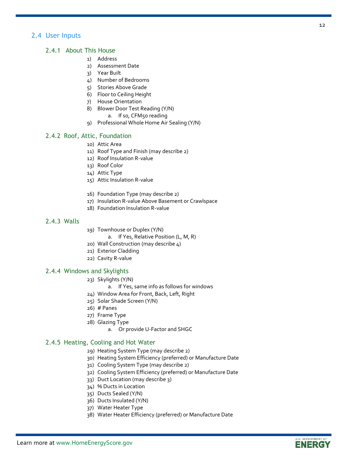#### <span id="page-11-0"></span>2.4 User Inputs

#### <span id="page-11-1"></span>2.4.1 About This House

- 1) Address
- 2) Assessment Date
- 3) Year Built
- 4) Number of Bedrooms
- 5) Stories Above Grade
- 6) Floor to Ceiling Height
- 7) House Orientation
- 8) Blower Door Test Reading (Y/N)
	- a. If so, CFM50 reading
- 9) Professional Whole Home Air Sealing (Y/N)

#### <span id="page-11-2"></span>2.4.2 Roof, Attic, Foundation

- 10) Attic Area
- 11) Roof Type and Finish (may describe 2)
- 12) Roof Insulation R-value
- 13) Roof Color
- 14) Attic Type
- 15) Attic Insulation R-value
- 16) Foundation Type (may describe 2)
- 17) Insulation R-value Above Basement or Crawlspace
- 18) Foundation Insulation R-value

#### <span id="page-11-3"></span>2.4.3 Walls

- 19) Townhouse or Duplex (Y/N)
	- a. If Yes, Relative Position (L, M, R)
- 20) Wall Construction (may describe 4)
- 21) Exterior Cladding
- 22) Cavity R-value

#### <span id="page-11-4"></span>2.4.4 Windows and Skylights

- 23) Skylights (Y/N)
	- a. If Yes, same info as follows for windows
- 24) Window Area for Front, Back, Left, Right
- 25) Solar Shade Screen (Y/N)
- 26) # Panes
- 27) Frame Type
- 28) Glazing Type
	- a. Or provide U-Factor and SHGC

#### <span id="page-11-5"></span>2.4.5 Heating, Cooling and Hot Water

- 29) Heating System Type (may describe 2)
- 30) Heating System Efficiency (preferred) or Manufacture Date
- 31) Cooling System Type (may describe 2)
- 32) Cooling System Efficiency (preferred) or Manufacture Date
- 33) Duct Location (may describe 3)
- 34) % Ducts in Location
- 35) Ducts Sealed (Y/N)
- 36) Ducts Insulated (Y/N)
- 37) Water Heater Type
- 38) Water Heater Efficiency (preferred) or Manufacture Date